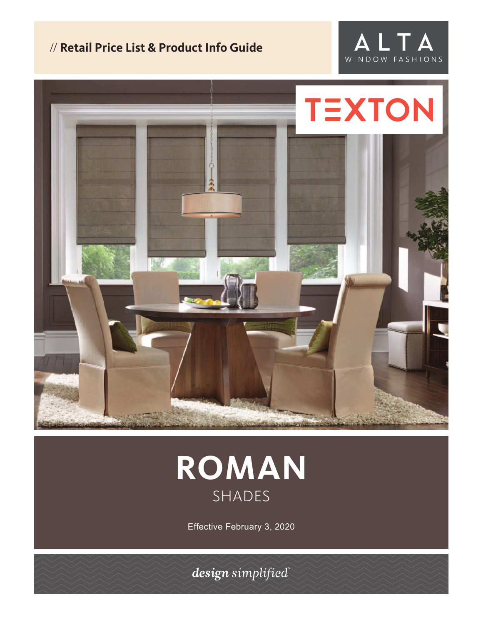# // **Retail Price List & Product Info Guide**







Effective February 3, 2020

design simplified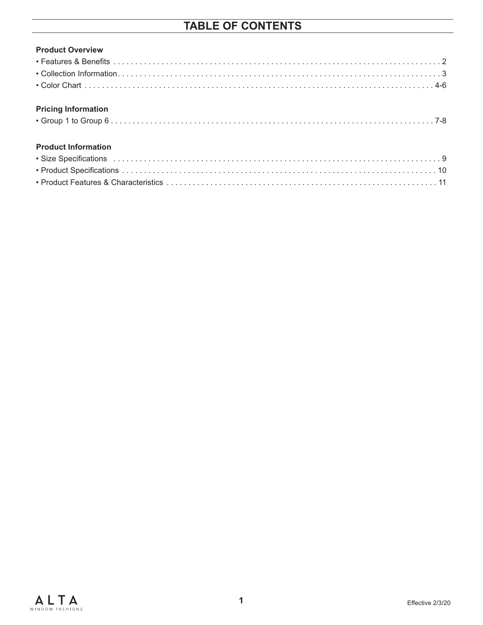## **TABLE OF CONTENTS**

| <b>Product Overview</b> |  |
|-------------------------|--|
|                         |  |
|                         |  |
|                         |  |

#### **Pricing Information**

|--|--|--|

#### **Product Information**

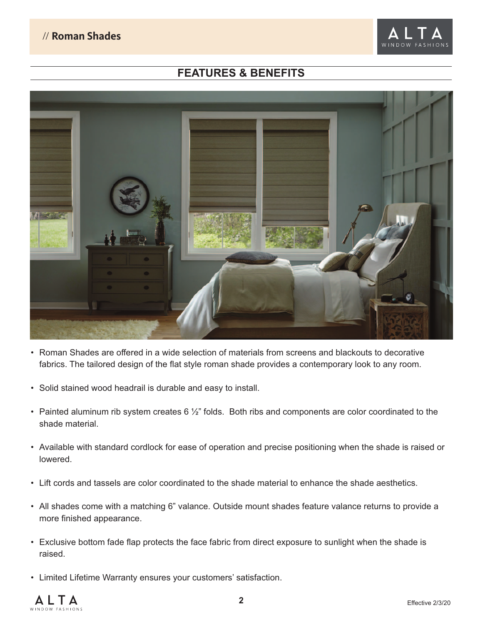

### **FEATURES & BENEFITS**



- Roman Shades are offered in a wide selection of materials from screens and blackouts to decorative fabrics. The tailored design of the flat style roman shade provides a contemporary look to any room.
- Solid stained wood headrail is durable and easy to install.
- Painted aluminum rib system creates 6 1/2" folds. Both ribs and components are color coordinated to the shade material.
- Available with standard cordlock for ease of operation and precise positioning when the shade is raised or lowered.
- Lift cords and tassels are color coordinated to the shade material to enhance the shade aesthetics.
- All shades come with a matching 6" valance. Outside mount shades feature valance returns to provide a more finished appearance.
- Exclusive bottom fade flap protects the face fabric from direct exposure to sunlight when the shade is raised.
- Limited Lifetime Warranty ensures your customers' satisfaction.

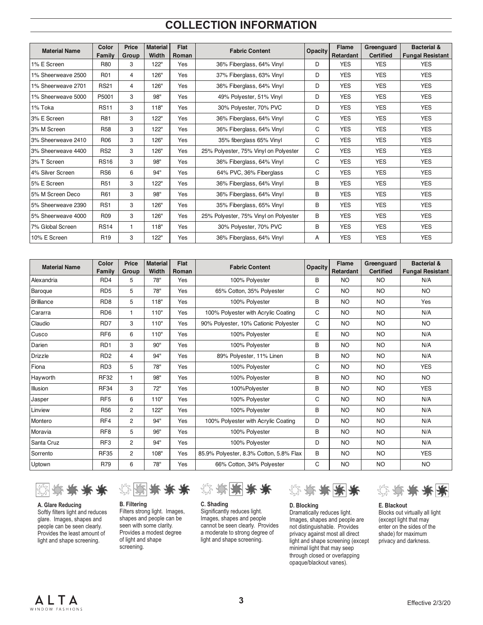### **COLLECTION INFORMATION**

| <b>Material Name</b> | Color<br>Family | <b>Price</b><br>Group | <b>Material</b><br>Width | Flat<br>Roman | <b>Fabric Content</b>                 | <b>Opacity</b> | <b>Flame</b><br>Retardant | Greenguard<br><b>Certified</b> | <b>Bacterial &amp;</b><br><b>Fungal Resistant</b> |
|----------------------|-----------------|-----------------------|--------------------------|---------------|---------------------------------------|----------------|---------------------------|--------------------------------|---------------------------------------------------|
| 1% E Screen          | <b>R80</b>      | 3                     | 122"                     | Yes           | 36% Fiberglass, 64% Vinyl             | D              | <b>YES</b>                | <b>YES</b>                     | <b>YES</b>                                        |
| 1% Sheerweave 2500   | <b>R01</b>      | 4                     | 126"                     | Yes           | 37% Fiberglass, 63% Vinyl             | D              | <b>YES</b>                | <b>YES</b>                     | <b>YES</b>                                        |
| 1% Sheerweave 2701   | <b>RS21</b>     | 4                     | 126"                     | Yes           | 36% Fiberglass, 64% Vinyl             | D              | <b>YES</b>                | <b>YES</b>                     | <b>YES</b>                                        |
| 1% Sheerweave 5000   | P5001           | 3                     | 98"                      | Yes           | 49% Polyester, 51% Vinyl              | D              | <b>YES</b>                | <b>YES</b>                     | <b>YES</b>                                        |
| 1% Toka              | <b>RS11</b>     | 3                     | 118"                     | Yes           | 30% Polyester, 70% PVC                | D              | <b>YES</b>                | <b>YES</b>                     | <b>YES</b>                                        |
| 3% E Screen          | R81             | 3                     | 122"                     | Yes           | 36% Fiberglass, 64% Vinyl             | C              | <b>YES</b>                | <b>YES</b>                     | <b>YES</b>                                        |
| 3% M Screen          | <b>R58</b>      | 3                     | 122"                     | Yes           | 36% Fiberglass, 64% Vinyl             | C              | <b>YES</b>                | <b>YES</b>                     | <b>YES</b>                                        |
| 3% Sheerweave 2410   | R <sub>06</sub> | 3                     | 126"                     | Yes           | 35% fiberglass 65% Vinyl              | C              | <b>YES</b>                | <b>YES</b>                     | <b>YES</b>                                        |
| 3% Sheerweave 4400   | RS <sub>2</sub> | 3                     | 126"                     | Yes           | 25% Polyester, 75% Vinyl on Polyester | C              | <b>YES</b>                | <b>YES</b>                     | <b>YES</b>                                        |
| 3% T Screen          | <b>RS16</b>     | 3                     | 98"                      | Yes           | 36% Fiberglass, 64% Vinyl             | C              | <b>YES</b>                | <b>YES</b>                     | <b>YES</b>                                        |
| 4% Silver Screen     | RS <sub>6</sub> | 6                     | 94"                      | Yes           | 64% PVC, 36% Fiberglass               | C              | <b>YES</b>                | <b>YES</b>                     | <b>YES</b>                                        |
| 5% E Screen          | R <sub>51</sub> | 3                     | 122"                     | Yes           | 36% Fiberglass, 64% Vinyl             | B              | <b>YES</b>                | <b>YES</b>                     | <b>YES</b>                                        |
| 5% M Screen Deco     | R61             | 3                     | 98"                      | Yes           | 36% Fiberglass, 64% Vinyl             | B              | <b>YES</b>                | <b>YES</b>                     | <b>YES</b>                                        |
| 5% Sheerweave 2390   | RS1             | 3                     | 126"                     | Yes           | 35% Fiberglass, 65% Vinyl             | B              | <b>YES</b>                | <b>YES</b>                     | <b>YES</b>                                        |
| 5% Sheerweave 4000   | R <sub>09</sub> | 3                     | 126"                     | Yes           | 25% Polyester, 75% Vinyl on Polyester | B              | <b>YES</b>                | <b>YES</b>                     | <b>YES</b>                                        |
| 7% Global Screen     | <b>RS14</b>     |                       | 118"                     | Yes           | 30% Polyester, 70% PVC                | B              | <b>YES</b>                | <b>YES</b>                     | <b>YES</b>                                        |
| 10% E Screen         | R <sub>19</sub> | 3                     | 122"                     | Yes           | 36% Fiberglass, 64% Vinyl             | A              | <b>YES</b>                | <b>YES</b>                     | <b>YES</b>                                        |

| <b>Material Name</b> | Color<br>Family | Price<br>Group | <b>Material</b><br>Width | Flat<br>Roman | <b>Fabric Content</b>                   | <b>Opacity</b> | <b>Flame</b><br>Retardant | Greenguard<br><b>Certified</b> | <b>Bacterial &amp;</b><br><b>Fungal Resistant</b> |
|----------------------|-----------------|----------------|--------------------------|---------------|-----------------------------------------|----------------|---------------------------|--------------------------------|---------------------------------------------------|
| Alexandria           | RD4             | 5              | 78"                      | Yes           | 100% Polyester                          | B              | <b>NO</b>                 | <b>NO</b>                      | N/A                                               |
| Baroque              | RD <sub>5</sub> | 5              | 78"                      | Yes           | 65% Cotton, 35% Polyester               | С              | <b>NO</b>                 | <b>NO</b>                      | <b>NO</b>                                         |
| <b>Brilliance</b>    | RD <sub>8</sub> | 5              | 118"                     | Yes           | 100% Polyester                          | B              | <b>NO</b>                 | <b>NO</b>                      | Yes                                               |
| Cararra              | RD <sub>6</sub> | 1              | 110"                     | Yes           | 100% Polyester with Acrylic Coating     | С              | <b>NO</b>                 | <b>NO</b>                      | N/A                                               |
| Claudio              | RD7             | 3              | 110"                     | Yes           | 90% Polyester, 10% Cationic Polyester   | С              | NO                        | <b>NO</b>                      | <b>NO</b>                                         |
| Cusco                | RF <sub>6</sub> | 6              | 110"                     | Yes           | 100% Polyester                          | E              | NO                        | <b>NO</b>                      | N/A                                               |
| Darien               | RD1             | 3              | 90"                      | Yes           | 100% Polyester                          | B              | <b>NO</b>                 | <b>NO</b>                      | N/A                                               |
| <b>Drizzle</b>       | RD <sub>2</sub> | 4              | 94"                      | Yes           | 89% Polyester, 11% Linen                | B              | <b>NO</b>                 | <b>NO</b>                      | N/A                                               |
| Fiona                | RD <sub>3</sub> | 5              | 78"                      | Yes           | 100% Polyester                          | С              | <b>NO</b>                 | <b>NO</b>                      | <b>YES</b>                                        |
| Hayworth             | <b>RF32</b>     | 1              | 98"                      | Yes           | 100% Polyester                          | B              | <b>NO</b>                 | <b>NO</b>                      | <b>NO</b>                                         |
| Illusion             | <b>RF34</b>     | 3              | 72"                      | Yes           | 100%Polyester                           | B              | NO                        | <b>NO</b>                      | <b>YES</b>                                        |
| Jasper               | RF <sub>5</sub> | 6              | 110"                     | Yes           | 100% Polyester                          | С              | <b>NO</b>                 | <b>NO</b>                      | N/A                                               |
| Linview              | <b>R56</b>      | $\overline{2}$ | 122"                     | Yes           | 100% Polyester                          | B              | <b>NO</b>                 | <b>NO</b>                      | N/A                                               |
| Montero              | RF4             | $\overline{2}$ | 94"                      | Yes           | 100% Polyester with Acrylic Coating     | D              | <b>NO</b>                 | <b>NO</b>                      | N/A                                               |
| Moravia              | RF <sub>8</sub> | 5              | 96"                      | Yes           | 100% Polyester                          | B              | <b>NO</b>                 | <b>NO</b>                      | N/A                                               |
| Santa Cruz           | RF3             | $\overline{2}$ | 94"                      | Yes           | 100% Polyester                          | D              | <b>NO</b>                 | <b>NO</b>                      | N/A                                               |
| Sorrento             | <b>RF35</b>     | 2              | 108"                     | Yes           | 85.9% Polyester, 8.3% Cotton, 5.8% Flax | В              | <b>NO</b>                 | NO                             | <b>YES</b>                                        |
| Uptown               | R79             | 6              | 78"                      | Yes           | 66% Cotton, 34% Polyester               | С              | <b>NO</b>                 | <b>NO</b>                      | <b>NO</b>                                         |



**A. Glare Reducing** Softly filters light and reduces glare. Images, shapes and people can be seen clearly. Provides the least amount of light and shape screening.



**B. Filtering** Filters strong light. Images, shapes and people can be seen with some clarity. Provides a modest degree of light and shape screening.



**C. Shading** Significantly reduces light. Images, shapes and people cannot be seen clearly. Provides a moderate to strong degree of light and shape screening.



**D. Blocking** Dramatically reduces light. Images, shapes and people are not distinguishable. Provides privacy against most all direct light and shape screening (except minimal light that may seep through closed or overlapping opaque/blackout vanes).



**E. Blackout** Blocks out virtually all light (except light that may enter on the sides of the shade) for maximum privacy and darkness.

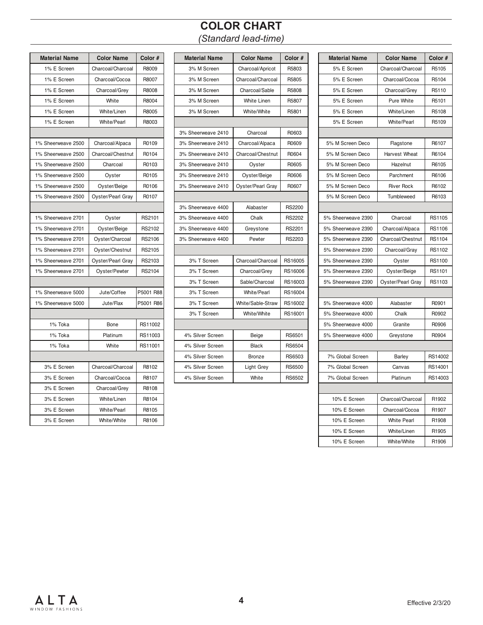### **COLOR CHART** *(Standard lead-time)*

| <b>Material Name</b> | <b>Color Name</b>  | Color #   | <b>Material Name</b> | <b>Color Name</b>  |
|----------------------|--------------------|-----------|----------------------|--------------------|
| 1% E Screen          | Charcoal/Charcoal  | R8009     | 3% M Screen          | Charcoal/Apricot   |
| 1% E Screen          | Charcoal/Cocoa     | R8007     | 3% M Screen          | Charcoal/Charcoal  |
| 1% E Screen          | Charcoal/Grey      | R8008     | 3% M Screen          | Charcoal/Sable     |
| 1% E Screen          | White              | R8004     | 3% M Screen          | <b>White Linen</b> |
| 1% E Screen          | White/Linen        | R8005     | 3% M Screen          | White/White        |
| 1% E Screen          | <b>White/Pearl</b> | R8003     |                      |                    |
|                      |                    |           | 3% Sheerweave 2410   | Charcoal           |
| 1% Sheerweave 2500   | Charcoal/Alpaca    | R0109     | 3% Sheerweave 2410   | Charcoal/Alpaca    |
| 1% Sheerweave 2500   | Charcoal/Chestnut  | R0104     | 3% Sheerweave 2410   | Charcoal/Chestnut  |
| 1% Sheerweave 2500   | Charcoal           | R0103     | 3% Sheerweave 2410   | Oyster             |
| 1% Sheerweave 2500   | Oyster             | R0105     | 3% Sheerweave 2410   | Oyster/Beige       |
| 1% Sheerweave 2500   | Oyster/Beige       | R0106     | 3% Sheerweave 2410   | Oyster/Pearl Gray  |
| 1% Sheerweave 2500   | Oyster/Pearl Gray  | R0107     |                      |                    |
|                      |                    |           | 3% Sheerweave 4400   | Alabaster          |
| 1% Sheerweave 2701   | Oyster             | RS2101    | 3% Sheerweave 4400   | Chalk              |
| 1% Sheerweave 2701   | Oyster/Beige       | RS2102    | 3% Sheerweave 4400   | Greystone          |
| 1% Sheerweave 2701   | Oyster/Charcoal    | RS2106    | 3% Sheerweave 4400   | Pewter             |
| 1% Sheerweave 2701   | Oyster/Chestnut    | RS2105    |                      |                    |
| 1% Sheerweave 2701   | Oyster/Pearl Gray  | RS2103    | 3% T Screen          | Charcoal/Charcoal  |
| 1% Sheerweave 2701   | Oyster/Pewter      | RS2104    | 3% T Screen          | Charcoal/Grey      |
|                      |                    |           | 3% T Screen          | Sable/Charcoal     |
| 1% Sheerweave 5000   | Jute/Coffee        | P5001 R88 | 3% T Screen          | <b>White/Pearl</b> |
| 1% Sheerweave 5000   | Jute/Flax          | P5001 R86 | 3% T Screen          | White/Sable-Straw  |
|                      |                    |           | 3% T Screen          | White/White        |
| 1% Toka              | Bone               | RS11002   |                      |                    |
| 1% Toka              | Platinum           | RS11003   | 4% Silver Screen     | Beige              |
| 1% Toka              | White              | RS11001   | 4% Silver Screen     | <b>Black</b>       |
|                      |                    |           | 4% Silver Screen     | Bronze             |
| 3% E Screen          | Charcoal/Charcoal  | R8102     | 4% Silver Screen     | <b>Light Grey</b>  |
| 3% E Screen          | Charcoal/Cocoa     | R8107     | 4% Silver Screen     | White              |
| 3% E Screen          | Charcoal/Grey      | R8108     |                      |                    |
| 3% E Screen          | White/Linen        | R8104     |                      |                    |
| 3% E Screen          | <b>White/Pearl</b> | R8105     |                      |                    |
| 3% E Screen          | White/White        | R8106     |                      |                    |

| <b>Material Name</b> | <b>Color Name</b>  | Color #   | <b>Material Name</b> | <b>Color Name</b>  | Color #       | <b>Material Name</b> | <b>Color Name</b>  | Color # |
|----------------------|--------------------|-----------|----------------------|--------------------|---------------|----------------------|--------------------|---------|
| 1% E Screen          | Charcoal/Charcoal  | R8009     | 3% M Screen          | Charcoal/Apricot   | R5803         | 5% E Screen          | Charcoal/Charcoal  | R5105   |
| 1% E Screen          | Charcoal/Cocoa     | R8007     | 3% M Screen          | Charcoal/Charcoal  | R5805         | 5% E Screen          | Charcoal/Cocoa     | R5104   |
| 1% E Screen          | Charcoal/Grey      | R8008     | 3% M Screen          | Charcoal/Sable     | R5808         | 5% E Screen          | Charcoal/Grey      | R5110   |
| 1% E Screen          | White              | R8004     | 3% M Screen          | <b>White Linen</b> | R5807         | 5% E Screen          | Pure White         | R5101   |
| 1% E Screen          | White/Linen        | R8005     | 3% M Screen          | White/White        | R5801         | 5% E Screen          | White/Linen        | R5108   |
| 1% E Screen          | <b>White/Pearl</b> | R8003     |                      |                    |               | 5% E Screen          | <b>White/Pearl</b> | R5109   |
|                      |                    |           | 3% Sheerweave 2410   | Charcoal           | R0603         |                      |                    |         |
| 1% Sheerweave 2500   | Charcoal/Alpaca    | R0109     | 3% Sheerweave 2410   | Charcoal/Alpaca    | R0609         | 5% M Screen Deco     | Flagstone          | R6107   |
| 1% Sheerweave 2500   | Charcoal/Chestnut  | R0104     | 3% Sheerweave 2410   | Charcoal/Chestnut  | R0604         | 5% M Screen Deco     | Harvest Wheat      | R6104   |
| 1% Sheerweave 2500   | Charcoal           | R0103     | 3% Sheerweave 2410   | Oyster             | R0605         | 5% M Screen Deco     | Hazelnut           | R6105   |
| 1% Sheerweave 2500   | Oyster             | R0105     | 3% Sheerweave 2410   | Oyster/Beige       | R0606         | 5% M Screen Deco     | Parchment          | R6106   |
| 1% Sheerweave 2500   | Oyster/Beige       | R0106     | 3% Sheerweave 2410   | Oyster/Pearl Gray  | R0607         | 5% M Screen Deco     | <b>River Rock</b>  | R6102   |
| 1% Sheerweave 2500   | Oyster/Pearl Gray  | R0107     |                      |                    |               | 5% M Screen Deco     | Tumbleweed         | R6103   |
|                      |                    |           | 3% Sheerweave 4400   | Alabaster          | <b>RS2200</b> |                      |                    |         |
| 1% Sheerweave 2701   | Oyster             | RS2101    | 3% Sheerweave 4400   | Chalk              | <b>RS2202</b> | 5% Sheerweave 2390   | Charcoal           | RS1105  |
| 1% Sheerweave 2701   | Oyster/Beige       | RS2102    | 3% Sheerweave 4400   | Greystone          | RS2201        | 5% Sheerweave 2390   | Charcoal/Alpaca    | RS1106  |
| 1% Sheerweave 2701   | Oyster/Charcoal    | RS2106    | 3% Sheerweave 4400   | Pewter             | RS2203        | 5% Sheerweave 2390   | Charcoal/Chestnut  | RS1104  |
| 1% Sheerweave 2701   | Oyster/Chestnut    | RS2105    |                      |                    |               | 5% Sheerweave 2390   | Charcoal/Gray      | RS1102  |
| 1% Sheerweave 2701   | Oyster/Pearl Gray  | RS2103    | 3% T Screen          | Charcoal/Charcoal  | RS16005       | 5% Sheerweave 2390   | Oyster             | RS1100  |
| 1% Sheerweave 2701   | Oyster/Pewter      | RS2104    | 3% T Screen          | Charcoal/Grey      | RS16006       | 5% Sheerweave 2390   | Oyster/Beige       | RS1101  |
|                      |                    |           | 3% T Screen          | Sable/Charcoal     | RS16003       | 5% Sheerweave 2390   | Oyster/Pearl Gray  | RS1103  |
| 1% Sheerweave 5000   | Jute/Coffee        | P5001 R88 | 3% T Screen          | <b>White/Pearl</b> | RS16004       |                      |                    |         |
| 1% Sheerweave 5000   | Jute/Flax          | P5001 R86 | 3% T Screen          | White/Sable-Straw  | RS16002       | 5% Sheerweave 4000   | Alabaster          | R0901   |
|                      |                    |           | 3% T Screen          | White/White        | RS16001       | 5% Sheerweave 4000   | Chalk              | R0902   |
| 1% Toka              | Bone               | RS11002   |                      |                    |               | 5% Sheerweave 4000   | Granite            | R0906   |
| 1% Toka              | Platinum           | RS11003   | 4% Silver Screen     | Beige              | RS6501        | 5% Sheerweave 4000   | Greystone          | R0904   |
| 1% Toka              | White              | RS11001   | 4% Silver Screen     | <b>Black</b>       | RS6504        |                      |                    |         |
|                      |                    |           | 4% Silver Screen     | Bronze             | RS6503        | 7% Global Screen     | Barley             | RS14002 |
| 3% E Screen          | Charcoal/Charcoal  | R8102     | 4% Silver Screen     | Light Grey         | <b>RS6500</b> | 7% Global Screen     | Canvas             | RS14001 |
| 3% E Screen          | Charcoal/Cocoa     | R8107     | 4% Silver Screen     | White              | RS6502        | 7% Global Screen     | Platinum           | RS14003 |

| aterial Name    | <b>Color Name</b>  | Color #   | <b>Material Name</b> | <b>Color Name</b>  | Color#        | <b>Material Name</b> | <b>Color Name</b>  | Color#            |
|-----------------|--------------------|-----------|----------------------|--------------------|---------------|----------------------|--------------------|-------------------|
| 1% E Screen     | Charcoal/Charcoal  | R8009     | 3% M Screen          | Charcoal/Apricot   | R5803         | 5% E Screen          | Charcoal/Charcoal  | R5105             |
| 1% E Screen     | Charcoal/Cocoa     | R8007     | 3% M Screen          | Charcoal/Charcoal  | R5805         | 5% E Screen          | Charcoal/Cocoa     | R5104             |
| 1% E Screen     | Charcoal/Grey      | R8008     | 3% M Screen          | Charcoal/Sable     | R5808         | 5% E Screen          | Charcoal/Grey      | R5110             |
| 1% E Screen     | White              | R8004     | 3% M Screen          | <b>White Linen</b> | R5807         | 5% E Screen          | Pure White         | R5101             |
| 1% E Screen     | White/Linen        | R8005     | 3% M Screen          | White/White        | R5801         | 5% E Screen          | White/Linen        | R5108             |
| 1% E Screen     | <b>White/Pearl</b> | R8003     |                      |                    |               | 5% E Screen          | <b>White/Pearl</b> | R5109             |
|                 |                    |           | 3% Sheerweave 2410   | Charcoal           | R0603         |                      |                    |                   |
| Sheerweave 2500 | Charcoal/Alpaca    | R0109     | 3% Sheerweave 2410   | Charcoal/Alpaca    | R0609         | 5% M Screen Deco     | Flagstone          | R6107             |
| Sheerweave 2500 | Charcoal/Chestnut  | R0104     | 3% Sheerweave 2410   | Charcoal/Chestnut  | R0604         | 5% M Screen Deco     | Harvest Wheat      | R6104             |
| Sheerweave 2500 | Charcoal           | R0103     | 3% Sheerweave 2410   | Oyster             | R0605         | 5% M Screen Deco     | Hazelnut           | R6105             |
| Sheerweave 2500 | Oyster             | R0105     | 3% Sheerweave 2410   | Oyster/Beige       | R0606         | 5% M Screen Deco     | Parchment          | R6106             |
| Sheerweave 2500 | Oyster/Beige       | R0106     | 3% Sheerweave 2410   | Oyster/Pearl Gray  | R0607         | 5% M Screen Deco     | <b>River Rock</b>  | R6102             |
| Sheerweave 2500 | Oyster/Pearl Gray  | R0107     |                      |                    |               | 5% M Screen Deco     | Tumbleweed         | R6103             |
|                 |                    |           | 3% Sheerweave 4400   | Alabaster          | RS2200        |                      |                    |                   |
| Sheerweave 2701 | Oyster             | RS2101    | 3% Sheerweave 4400   | Chalk              | <b>RS2202</b> | 5% Sheerweave 2390   | Charcoal           | RS1105            |
| Sheerweave 2701 | Oyster/Beige       | RS2102    | 3% Sheerweave 4400   | Greystone          | RS2201        | 5% Sheerweave 2390   | Charcoal/Alpaca    | RS1106            |
| Sheerweave 2701 | Oyster/Charcoal    | RS2106    | 3% Sheerweave 4400   | Pewter             | RS2203        | 5% Sheerweave 2390   | Charcoal/Chestnut  | RS1104            |
| Sheerweave 2701 | Oyster/Chestnut    | RS2105    |                      |                    |               | 5% Sheerweave 2390   | Charcoal/Gray      | RS1102            |
| Sheerweave 2701 | Oyster/Pearl Gray  | RS2103    | 3% T Screen          | Charcoal/Charcoal  | RS16005       | 5% Sheerweave 2390   | Oyster             | RS1100            |
| Sheerweave 2701 | Oyster/Pewter      | RS2104    | 3% T Screen          | Charcoal/Grey      | RS16006       | 5% Sheerweave 2390   | Oyster/Beige       | RS1101            |
|                 |                    |           | 3% T Screen          | Sable/Charcoal     | RS16003       | 5% Sheerweave 2390   | Oyster/Pearl Gray  | RS1103            |
| Sheerweave 5000 | Jute/Coffee        | P5001 R88 | 3% T Screen          | White/Pearl        | RS16004       |                      |                    |                   |
| Sheerweave 5000 | Jute/Flax          | P5001 R86 | 3% T Screen          | White/Sable-Straw  | RS16002       | 5% Sheerweave 4000   | Alabaster          | R0901             |
|                 |                    |           | 3% T Screen          | White/White        | RS16001       | 5% Sheerweave 4000   | Chalk              | R0902             |
| 1% Toka         | Bone               | RS11002   |                      |                    |               | 5% Sheerweave 4000   | Granite            | R0906             |
| 1% Toka         | Platinum           | RS11003   | 4% Silver Screen     | Beige              | RS6501        | 5% Sheerweave 4000   | Greystone          | R0904             |
| 1% Toka         | White              | RS11001   | 4% Silver Screen     | <b>Black</b>       | RS6504        |                      |                    |                   |
|                 |                    |           | 4% Silver Screen     | Bronze             | RS6503        | 7% Global Screen     | Barley             | RS14002           |
| 3% E Screen     | Charcoal/Charcoal  | R8102     | 4% Silver Screen     | Light Grey         | <b>RS6500</b> | 7% Global Screen     | Canvas             | RS14001           |
| 3% E Screen     | Charcoal/Cocoa     | R8107     | 4% Silver Screen     | White              | RS6502        | 7% Global Screen     | Platinum           | RS14003           |
| 3% E Screen     | Charcoal/Grey      | R8108     |                      |                    |               |                      |                    |                   |
| 3% E Screen     | White/Linen        | R8104     |                      |                    |               | 10% E Screen         | Charcoal/Charcoal  | R1902             |
| 3% E Screen     | White/Pearl        | R8105     |                      |                    |               | 10% E Screen         | Charcoal/Cocoa     | R1907             |
| 3% E Screen     | White/White        | R8106     |                      |                    |               | 10% E Screen         | <b>White Pearl</b> | R1908             |
|                 |                    |           |                      |                    |               | 10% E Screen         | White/Linen        | R <sub>1905</sub> |
|                 |                    |           |                      |                    |               | 10% E Screen         | White/White        | R1906             |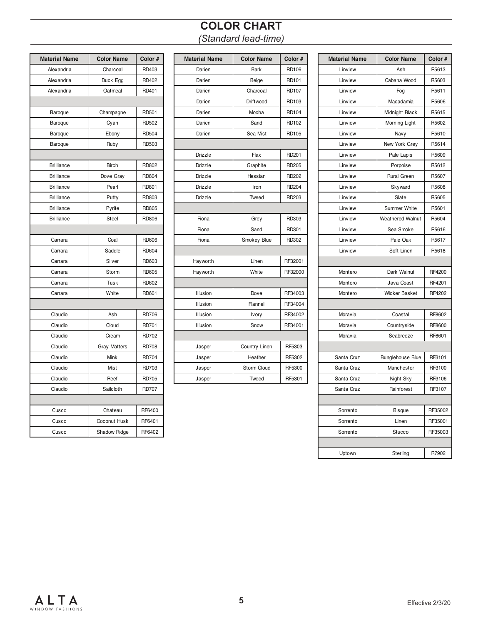### **COLOR CHART** *(Standard lead-time)*

| Color #      |
|--------------|
| RD403        |
| RD402        |
| RD401        |
|              |
|              |
| RD501        |
| RD502        |
| RD504        |
| RD503        |
|              |
| RD802        |
| <b>RD804</b> |
| <b>RD801</b> |
| RD803        |
| <b>RD805</b> |
| <b>RD806</b> |
|              |
| <b>RD606</b> |
| <b>RD604</b> |
| RD603        |
| <b>RD605</b> |
| RD602        |
| RD601        |
|              |
| <b>RD706</b> |
| <b>RD701</b> |
| <b>RD702</b> |
| <b>RD708</b> |
| <b>RD704</b> |
| RD703        |
| <b>RD705</b> |
| <b>RD707</b> |
|              |
| RF6400       |
| RF6401       |
|              |
|              |

| Material Name     | <b>Color Name</b>   | Color #      | <b>Material Name</b> | <b>Color Name</b> | Color #      | <b>Material Name</b> | <b>Color Name</b>       | Color # |
|-------------------|---------------------|--------------|----------------------|-------------------|--------------|----------------------|-------------------------|---------|
| Alexandria        | Charcoal            | RD403        | Darien               | <b>Bark</b>       | <b>RD106</b> | Linview              | Ash                     | R5613   |
| Alexandria        | Duck Egg            | RD402        | Darien               | Beige             | RD101        | Linview              | Cabana Wood             | R5603   |
| Alexandria        | Oatmeal             | RD401        | Darien               | Charcoal          | <b>RD107</b> | Linview              | Fog                     | R5611   |
|                   |                     |              | Darien               | Driftwood         | RD103        | Linview              | Macadamia               | R5606   |
| Baroque           | Champagne           | RD501        | Darien               | Mocha             | RD104        | Linview              | Midnight Black          | R5615   |
| Baroque           | Cyan                | RD502        | Darien               | Sand              | RD102        | Linview              | Morning Light           | R5602   |
| Baroque           | Ebony               | RD504        | Darien               | Sea Mist          | <b>RD105</b> | Linview              | Navy                    | R5610   |
| Baroque           | Ruby                | RD503        |                      |                   |              | Linview              | New York Grey           | R5614   |
|                   |                     |              | Drizzle              | Flax              | RD201        | Linview              | Pale Lapis              | R5609   |
| <b>Brilliance</b> | <b>Birch</b>        | RD802        | Drizzle              | Graphite          | <b>RD205</b> | Linview              | Porpoise                | R5612   |
| <b>Brilliance</b> | Dove Gray           | RD804        | Drizzle              | Hessian           | RD202        | Linview              | <b>Rural Green</b>      | R5607   |
| <b>Brilliance</b> | Pearl               | RD801        | Drizzle              | Iron              | <b>RD204</b> | Linview              | Skyward                 | R5608   |
| <b>Brilliance</b> | Putty               | RD803        | Drizzle              | Tweed             | RD203        | Linview              | Slate                   | R5605   |
| <b>Brilliance</b> | Pyrite              | RD805        |                      |                   |              | Linview              | Summer White            | R5601   |
| <b>Brilliance</b> | Steel               | <b>RD806</b> | Fiona                | Grey              | RD303        | Linview              | <b>Weathered Walnut</b> | R5604   |
|                   |                     |              | Fiona                | Sand              | RD301        | Linview              | Sea Smoke               | R5616   |
| Carrara           | Coal                | RD606        | Fiona                | Smokey Blue       | RD302        | Linview              | Pale Oak                | R5617   |
| Carrara           | Saddle              | RD604        |                      |                   |              | Linview              | Soft Linen              | R5618   |
| Carrara           | Silver              | RD603        | Hayworth             | Linen             | RF32001      |                      |                         |         |
| Carrara           | Storm               | RD605        | Hayworth             | White             | RF32000      | Montero              | Dark Walnut             | RF4200  |
| Carrara           | Tusk                | RD602        |                      |                   |              | Montero              | Java Coast              | RF4201  |
| Carrara           | White               | RD601        | Illusion             | Dove              | RF34003      | Montero              | <b>Wicker Basket</b>    | RF4202  |
|                   |                     |              | Illusion             | Flannel           | RF34004      |                      |                         |         |
| Claudio           | Ash                 | <b>RD706</b> | Illusion             | Ivory             | RF34002      | Moravia              | Coastal                 | RF8602  |
| Claudio           | Cloud               | RD701        | Illusion             | Snow              | RF34001      | Moravia              | Countryside             | RF8600  |
| Claudio           | Cream               | <b>RD702</b> |                      |                   |              | Moravia              | Seabreeze               | RF8601  |
| Claudio           | <b>Gray Matters</b> | <b>RD708</b> | Jasper               | Country Linen     | RF5303       |                      |                         |         |
| Claudio           | Mink                | <b>RD704</b> | Jasper               | Heather           | RF5302       | Santa Cruz           | <b>Bunglehouse Blue</b> | RF3101  |
| Claudio           | Mist                | RD703        | Jasper               | Storm Cloud       | RF5300       | Santa Cruz           | Manchester              | RF3100  |
| Claudio           | Reef                | <b>RD705</b> | Jasper               | Tweed             | RF5301       | Santa Cruz           | Night Sky               | RF3106  |

| erial Name        | <b>Color Name</b>   | Color#       | <b>Material Name</b> | <b>Color Name</b> | Color #           | <b>Material Name</b> | <b>Color Name</b>       | Color#  |
|-------------------|---------------------|--------------|----------------------|-------------------|-------------------|----------------------|-------------------------|---------|
| lexandria         | Charcoal            | RD403        | Darien               | <b>Bark</b>       | <b>RD106</b>      | Linview              | Ash                     | R5613   |
| lexandria         | Duck Egg            | RD402        | Darien               | Beige             | <b>RD101</b>      | Linview              | Cabana Wood             | R5603   |
| lexandria         | Oatmeal             | RD401        | Darien               | Charcoal          | RD107             | Linview              | Fog                     | R5611   |
|                   |                     |              | Darien               | Driftwood         | RD103             | Linview              | Macadamia               | R5606   |
| Baroque           | Champagne           | RD501        | Darien               | Mocha             | RD104             | Linview              | Midnight Black          | R5615   |
| <b>Baroque</b>    | Cyan                | RD502        | Darien               | Sand              | RD102             | Linview              | Morning Light           | R5602   |
| <b>Baroque</b>    | Ebony               | <b>RD504</b> | Darien               | Sea Mist          | <b>RD105</b>      | Linview              | Navy                    | R5610   |
| Baroque           | Ruby                | RD503        |                      |                   |                   | Linview              | New York Grey           | R5614   |
|                   |                     |              | Drizzle              | Flax              | RD <sub>201</sub> | Linview              | Pale Lapis              | R5609   |
| 3rilliance        | <b>Birch</b>        | RD802        | Drizzle              | Graphite          | RD205             | Linview              | Porpoise                | R5612   |
| 3rilliance        | Dove Gray           | <b>RD804</b> | Drizzle              | Hessian           | RD202             | Linview              | <b>Rural Green</b>      | R5607   |
| 3rilliance        | Pearl               | <b>RD801</b> | Drizzle              | Iron              | <b>RD204</b>      | Linview              | Skyward                 | R5608   |
| <b>Brilliance</b> | Putty               | RD803        | Drizzle              | Tweed             | <b>RD203</b>      | Linview              | Slate                   | R5605   |
| 3rilliance        | Pyrite              | <b>RD805</b> |                      |                   |                   | Linview              | Summer White            | R5601   |
| 3rilliance        | Steel               | <b>RD806</b> | Fiona                | Grey              | RD303             | Linview              | <b>Weathered Walnut</b> | R5604   |
|                   |                     |              | Fiona                | Sand              | RD301             | Linview              | Sea Smoke               | R5616   |
| Carrara           | Coal                | <b>RD606</b> | Fiona                | Smokey Blue       | RD302             | Linview              | Pale Oak                | R5617   |
| Carrara           | Saddle              | <b>RD604</b> |                      |                   |                   | Linview              | Soft Linen              | R5618   |
| Carrara           | Silver              | RD603        | Hayworth             | Linen             | RF32001           |                      |                         |         |
| Carrara           | Storm               | RD605        | Hayworth             | White             | RF32000           | Montero              | Dark Walnut             | RF4200  |
| Carrara           | Tusk                | RD602        |                      |                   |                   | Montero              | Java Coast              | RF4201  |
| Carrara           | White               | RD601        | Illusion             | Dove              | RF34003           | Montero              | <b>Wicker Basket</b>    | RF4202  |
|                   |                     |              | Illusion             | Flannel           | RF34004           |                      |                         |         |
| Claudio           | Ash                 | <b>RD706</b> | Illusion             | Ivory             | RF34002           | Moravia              | Coastal                 | RF8602  |
| Claudio           | Cloud               | <b>RD701</b> | Illusion             | Snow              | RF34001           | Moravia              | Countryside             | RF8600  |
| Claudio           | Cream               | <b>RD702</b> |                      |                   |                   | Moravia              | Seabreeze               | RF8601  |
| Claudio           | <b>Gray Matters</b> | <b>RD708</b> | Jasper               | Country Linen     | RF5303            |                      |                         |         |
| Claudio           | Mink                | <b>RD704</b> | Jasper               | Heather           | RF5302            | Santa Cruz           | <b>Bunglehouse Blue</b> | RF3101  |
| Claudio           | Mist                | <b>RD703</b> | Jasper               | Storm Cloud       | RF5300            | Santa Cruz           | Manchester              | RF3100  |
| Claudio           | Reef                | <b>RD705</b> | Jasper               | Tweed             | RF5301            | Santa Cruz           | Night Sky               | RF3106  |
| Claudio           | Sailcloth           | <b>RD707</b> |                      |                   |                   | Santa Cruz           | Rainforest              | RF3107  |
|                   |                     |              |                      |                   |                   |                      |                         |         |
| Cusco             | Chateau             | RF6400       |                      |                   |                   | Sorrento             | <b>Bisque</b>           | RF35002 |
| Cusco             | Coconut Husk        | RF6401       |                      |                   |                   | Sorrento             | Linen                   | RF35001 |
| Cusco             | Shadow Ridge        | RF6402       |                      |                   |                   | Sorrento             | Stucco                  | RF35003 |
|                   |                     |              |                      |                   |                   |                      |                         |         |
|                   |                     |              |                      |                   |                   | Uptown               | Sterling                | R7902   |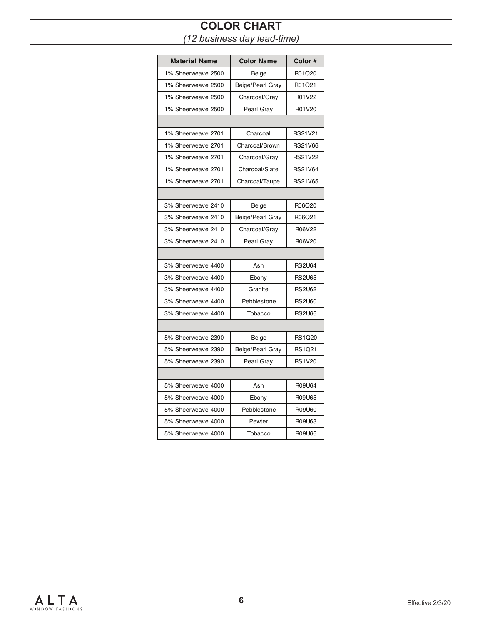# **COLOR CHART**

*(12 business day lead-time)*

| <b>Material Name</b> | <b>Color Name</b> | Color #        |
|----------------------|-------------------|----------------|
| 1% Sheerweave 2500   | Beige             | R01Q20         |
| 1% Sheerweave 2500   | Beige/Pearl Gray  | R01Q21         |
| 1% Sheerweave 2500   | Charcoal/Gray     | R01V22         |
| 1% Sheerweave 2500   | Pearl Gray        | R01V20         |
|                      |                   |                |
| 1% Sheerweave 2701   | Charcoal          | <b>RS21V21</b> |
| 1% Sheerweave 2701   | Charcoal/Brown    | <b>RS21V66</b> |
| 1% Sheerweave 2701   | Charcoal/Gray     | <b>RS21V22</b> |
| 1% Sheerweave 2701   | Charcoal/Slate    | <b>RS21V64</b> |
| 1% Sheerweave 2701   | Charcoal/Taupe    | <b>RS21V65</b> |
|                      |                   |                |
| 3% Sheerweave 2410   | Beige             | R06Q20         |
| 3% Sheerweave 2410   | Beige/Pearl Gray  | R06Q21         |
| 3% Sheerweave 2410   | Charcoal/Gray     | R06V22         |
| 3% Sheerweave 2410   | Pearl Gray        | R06V20         |
|                      |                   |                |
| 3% Sheerweave 4400   | Ash               | <b>RS2U64</b>  |
| 3% Sheerweave 4400   | Ebony             | <b>RS2U65</b>  |
| 3% Sheerweave 4400   | Granite           | <b>RS2U62</b>  |
| 3% Sheerweave 4400   | Pebblestone       | <b>RS2U60</b>  |
| 3% Sheerweave 4400   | Tobacco           | <b>RS2U66</b>  |
|                      |                   |                |
| 5% Sheerweave 2390   | Beige             | <b>RS1Q20</b>  |
| 5% Sheerweave 2390   | Beige/Pearl Gray  | <b>RS1Q21</b>  |
| 5% Sheerweave 2390   | Pearl Gray        | <b>RS1V20</b>  |
|                      |                   |                |
| 5% Sheerweave 4000   | Ash               | R09U64         |
| 5% Sheerweave 4000   | Ebony             | R09U65         |
| 5% Sheerweave 4000   | Pebblestone       | R09U60         |
| 5% Sheerweave 4000   | Pewter            | R09U63         |
| 5% Sheerweave 4000   | Tobacco           | R09U66         |

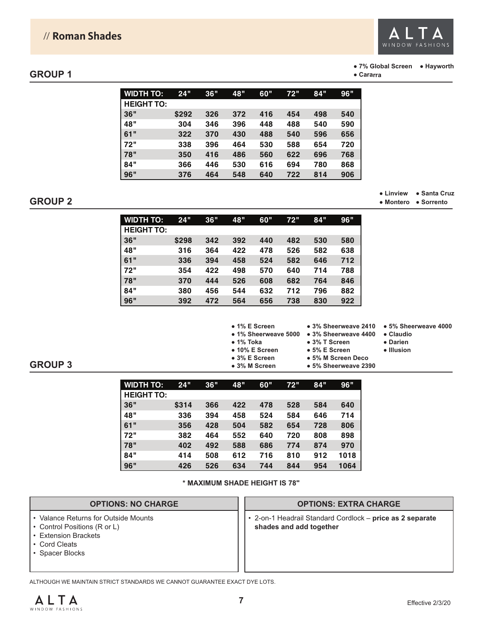

#### **● 7% Global Screen ● Hayworth**

**● Cararra**

| <b>WIDTH TO:</b>  | 24"   | 36" | 48" | 60" | 72" | 84" | 96" |
|-------------------|-------|-----|-----|-----|-----|-----|-----|
| <b>HEIGHT TO:</b> |       |     |     |     |     |     |     |
| 36"               | \$292 | 326 | 372 | 416 | 454 | 498 | 540 |
| 48"               | 304   | 346 | 396 | 448 | 488 | 540 | 590 |
| 61"               | 322   | 370 | 430 | 488 | 540 | 596 | 656 |
| 72"               | 338   | 396 | 464 | 530 | 588 | 654 | 720 |
| 78"               | 350   | 416 | 486 | 560 | 622 | 696 | 768 |
| 84"               | 366   | 446 | 530 | 616 | 694 | 780 | 868 |
| 96"               | 376   | 464 | 548 | 640 | 722 | 814 | 906 |

#### **GROUP 2**

**● Linview ● Santa Cruz**

| • Montero | ● Sorrento |
|-----------|------------|
|           |            |

| <b>WIDTH TO:</b>  | 24"   | 36" | 48" | 60" | 72" | 84" | <b>96"</b> |
|-------------------|-------|-----|-----|-----|-----|-----|------------|
| <b>HEIGHT TO:</b> |       |     |     |     |     |     |            |
| 36"               | \$298 | 342 | 392 | 440 | 482 | 530 | 580        |
| 48"               | 316   | 364 | 422 | 478 | 526 | 582 | 638        |
| 61"               | 336   | 394 | 458 | 524 | 582 | 646 | 712        |
| 72"               | 354   | 422 | 498 | 570 | 640 | 714 | 788        |
| 78"               | 370   | 444 | 526 | 608 | 682 | 764 | 846        |
| 84"               | 380   | 456 | 544 | 632 | 712 | 796 | 882        |
| 96"               | 392   | 472 | 564 | 656 | 738 | 830 | 922        |



**● 3% Sheerweave 2410 ● 5% Sheerweave 4000**

**● 3% T Screen ● 5% E Screen**

- **Darien**
- **Illusion**

**● 5% M Screen Deco**

**● 5% Sheerweave 2390**

**GROUP 3**

| <b>WIDTH TO:</b>  | 24"   | 36" | 48" | 60" | 72" | 84" | <b>96"</b> |
|-------------------|-------|-----|-----|-----|-----|-----|------------|
| <b>HEIGHT TO:</b> |       |     |     |     |     |     |            |
| 36"               | \$314 | 366 | 422 | 478 | 528 | 584 | 640        |
| 48"               | 336   | 394 | 458 | 524 | 584 | 646 | 714        |
| 61"               | 356   | 428 | 504 | 582 | 654 | 728 | 806        |
| 72"               | 382   | 464 | 552 | 640 | 720 | 808 | 898        |
| 78"               | 402   | 492 | 588 | 686 | 774 | 874 | 970        |
| 84"               | 414   | 508 | 612 | 716 | 810 | 912 | 1018       |
| 96"               | 426   | 526 | 634 | 744 | 844 | 954 | 1064       |

**\* MAXIMUM SHADE HEIGHT IS 78"**

### **OPTIONS: NO CHARGE**

- Valance Returns for Outside Mounts
- Control Positions (R or L)
- Extension Brackets
- Cord Cleats
- Spacer Blocks

#### **OPTIONS: EXTRA CHARGE**

• 2-on-1 Headrail Standard Cordlock – **price as 2 separate shades and add together**

ALTHOUGH WE MAINTAIN STRICT STANDARDS WE CANNOT GUARANTEE EXACT DYE LOTS.

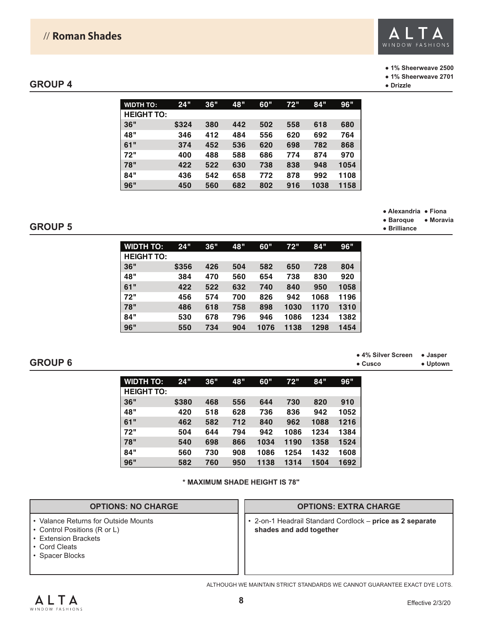### // **Roman Shades**



#### **● 1% Sheerweave 2500**

**● 1% Sheerweave 2701**

**● Alexandria ● Fiona ● Baroque ● Moravia**

**● Brilliance**

#### **GROUP 4**

| <b>WIDTH TO:</b>  | 24"   | 36" | 48" | 60" | 72" | 84"  | 96"  |
|-------------------|-------|-----|-----|-----|-----|------|------|
| <b>HEIGHT TO:</b> |       |     |     |     |     |      |      |
| <b>36"</b>        | \$324 | 380 | 442 | 502 | 558 | 618  | 680  |
| 48"               | 346   | 412 | 484 | 556 | 620 | 692  | 764  |
| 61"               | 374   | 452 | 536 | 620 | 698 | 782  | 868  |
| 72"               | 400   | 488 | 588 | 686 | 774 | 874  | 970  |
| 78"               | 422   | 522 | 630 | 738 | 838 | 948  | 1054 |
| 84"               | 436   | 542 | 658 | 772 | 878 | 992  | 1108 |
| 96"               | 450   | 560 | 682 | 802 | 916 | 1038 | 1158 |

#### **GROUP 5**

| <b>WIDTH TO:</b>  | 24"   | 36" | 48" | 60"  | 72"  | 84"  | 96"  |
|-------------------|-------|-----|-----|------|------|------|------|
| <b>HEIGHT TO:</b> |       |     |     |      |      |      |      |
| 36"               | \$356 | 426 | 504 | 582  | 650  | 728  | 804  |
| 48"               | 384   | 470 | 560 | 654  | 738  | 830  | 920  |
| 61"               | 422   | 522 | 632 | 740  | 840  | 950  | 1058 |
| 72"               | 456   | 574 | 700 | 826  | 942  | 1068 | 1196 |
| 78"               | 486   | 618 | 758 | 898  | 1030 | 1170 | 1310 |
| 84"               | 530   | 678 | 796 | 946  | 1086 | 1234 | 1382 |
| 96"               | 550   | 734 | 904 | 1076 | 1138 | 1298 | 1454 |

#### **GROUP 6**

**● 4% Silver Screen ● Jasper ● Cusco ● Uptown**

| <b>WIDTH TO:</b>  | 24"   | 36" | 48" | 60"  | 72"  | 84"  | <b>96"</b> |
|-------------------|-------|-----|-----|------|------|------|------------|
| <b>HEIGHT TO:</b> |       |     |     |      |      |      |            |
| 36"               | \$380 | 468 | 556 | 644  | 730  | 820  | 910        |
| 48"               | 420   | 518 | 628 | 736  | 836  | 942  | 1052       |
| 61"               | 462   | 582 | 712 | 840  | 962  | 1088 | 1216       |
| 72"               | 504   | 644 | 794 | 942  | 1086 | 1234 | 1384       |
| 78"               | 540   | 698 | 866 | 1034 | 1190 | 1358 | 1524       |
| 84"               | 560   | 730 | 908 | 1086 | 1254 | 1432 | 1608       |
| 96"               | 582   | 760 | 950 | 1138 | 1314 | 1504 | 1692       |

#### **\* MAXIMUM SHADE HEIGHT IS 78"**

#### **OPTIONS: NO CHARGE**

- Valance Returns for Outside Mounts
- Control Positions (R or L)
- Extension Brackets
- Cord Cleats
- Spacer Blocks

#### **OPTIONS: EXTRA CHARGE**

• 2-on-1 Headrail Standard Cordlock – **price as 2 separate shades and add together**

ALTHOUGH WE MAINTAIN STRICT STANDARDS WE CANNOT GUARANTEE EXACT DYE LOTS.

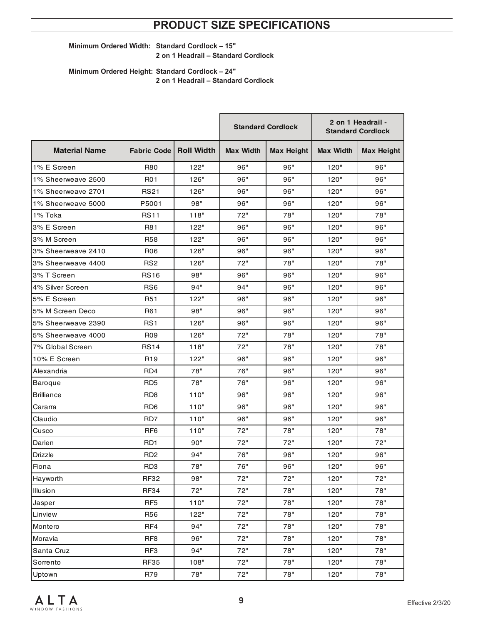### **PRODUCT SIZE SPECIFICATIONS**

#### **Minimum Ordered Width: Standard Cordlock – 15" 2 on 1 Headrail – Standard Cordlock**

**Minimum Ordered Height: Standard Cordlock – 24" 2 on 1 Headrail – Standard Cordlock**

|                      |                                 |      | <b>Standard Cordlock</b> |                   | 2 on 1 Headrail -<br><b>Standard Cordlock</b> |                   |
|----------------------|---------------------------------|------|--------------------------|-------------------|-----------------------------------------------|-------------------|
| <b>Material Name</b> | <b>Fabric Code   Roll Width</b> |      | <b>Max Width</b>         | <b>Max Height</b> | <b>Max Width</b>                              | <b>Max Height</b> |
| 1% E Screen          | <b>R80</b>                      | 122" | 96"                      | 96"               | 120"                                          | 96"               |
| 1% Sheerweave 2500   | <b>R01</b>                      | 126" | 96"                      | 96"               | 120"                                          | 96"               |
| 1% Sheerweave 2701   | <b>RS21</b>                     | 126" | 96"                      | 96"               | 120"                                          | 96"               |
| 1% Sheerweave 5000   | P5001                           | 98"  | 96"                      | 96"               | 120"                                          | 96"               |
| 1% Toka              | <b>RS11</b>                     | 118" | 72"                      | 78"               | 120"                                          | 78"               |
| 3% E Screen          | R81                             | 122" | 96"                      | 96"               | 120"                                          | 96"               |
| 3% M Screen          | <b>R58</b>                      | 122" | 96"                      | 96"               | 120"                                          | 96"               |
| 3% Sheerweave 2410   | R <sub>06</sub>                 | 126" | 96"                      | 96"               | 120"                                          | 96"               |
| 3% Sheerweave 4400   | RS <sub>2</sub>                 | 126" | 72"                      | 78"               | 120"                                          | 78"               |
| 3% T Screen          | <b>RS16</b>                     | 98"  | 96"                      | 96"               | 120"                                          | 96"               |
| 4% Silver Screen     | RS <sub>6</sub>                 | 94"  | 94"                      | 96"               | 120"                                          | 96"               |
| 5% E Screen          | <b>R51</b>                      | 122" | 96"                      | 96"               | 120"                                          | 96"               |
| 5% M Screen Deco     | R61                             | 98"  | 96"                      | 96"               | 120"                                          | 96"               |
| 5% Sheerweave 2390   | RS <sub>1</sub>                 | 126" | 96"                      | 96"               | 120"                                          | 96"               |
| 5% Sheerweave 4000   | R09                             | 126" | 72"                      | 78"               | 120"                                          | 78"               |
| 7% Global Screen     | <b>RS14</b>                     | 118" | 72"                      | 78"               | 120"                                          | 78"               |
| 10% E Screen         | R <sub>19</sub>                 | 122" | 96"                      | 96"               | 120"                                          | 96"               |
| Alexandria           | RD4                             | 78"  | 76"                      | 96"               | 120"                                          | 96"               |
| <b>Baroque</b>       | RD <sub>5</sub>                 | 78"  | 76"                      | 96"               | 120"                                          | 96"               |
| <b>Brilliance</b>    | RD <sub>8</sub>                 | 110" | 96"                      | 96"               | 120"                                          | 96"               |
| Cararra              | R <sub>D</sub> <sub>6</sub>     | 110" | 96"                      | 96"               | 120"                                          | 96"               |
| Claudio              | RD7                             | 110" | 96"                      | 96"               | 120"                                          | 96"               |
| Cusco                | RF <sub>6</sub>                 | 110" | 72"                      | 78"               | 120"                                          | 78"               |
| Darien               | RD <sub>1</sub>                 | 90"  | 72"                      | 72"               | 120"                                          | 72"               |
| <b>Drizzle</b>       | R <sub>D</sub> <sub>2</sub>     | 94"  | 76"                      | 96"               | 120"                                          | 96"               |
| Fiona                | RD <sub>3</sub>                 | 78"  | 76"                      | 96"               | 120"                                          | 96"               |
| Hayworth             | <b>RF32</b>                     | 98"  | 72"                      | 72"               | 120"                                          | 72"               |
| Illusion             | <b>RF34</b>                     | 72"  | 72"                      | 78"               | 120"                                          | 78"               |
| Jasper               | RF <sub>5</sub>                 | 110" | 72"                      | 78"               | 120"                                          | 78"               |
| Linview              | R56                             | 122" | 72"                      | 78"               | 120"                                          | 78"               |
| Montero              | RF4                             | 94"  | 72"                      | 78"               | 120"                                          | 78"               |
| Moravia              | RF <sub>8</sub>                 | 96"  | 72"                      | 78"               | 120"                                          | 78"               |
| Santa Cruz           | RF3                             | 94"  | 72"                      | 78"               | 120"                                          | 78"               |
| Sorrento             | <b>RF35</b>                     | 108" | 72"                      | 78"               | 120"                                          | 78"               |
| Uptown               | R79                             | 78"  | 72"                      | 78"               | 120"                                          | 78"               |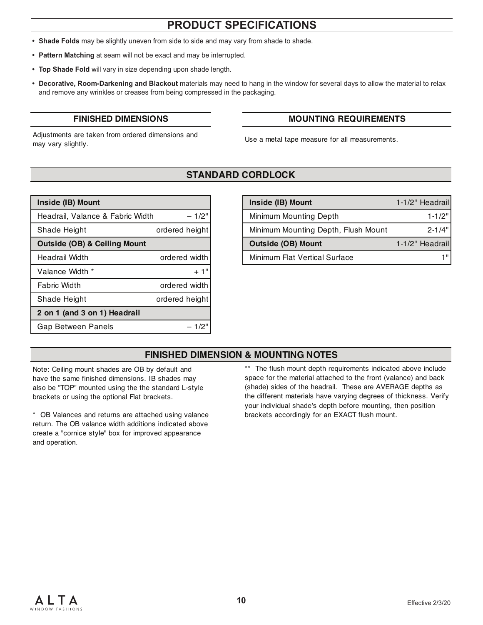### **PRODUCT SPECIFICATIONS**

- **• Shade Folds** may be slightly uneven from side to side and may vary from shade to shade.
- **• Pattern Matching** at seam will not be exact and may be interrupted.
- **• Top Shade Fold** will vary in size depending upon shade length.
- **• Decorative, Room-Darkening and Blackout** materials may need to hang in the window for several days to allow the material to relax and remove any wrinkles or creases from being compressed in the packaging.

Adjustments are taken from ordered dimensions and Adjustments are taken non-othered dimensions and<br>may vary slightly.

#### **FINISHED DIMENSIONS MOUNTING REQUIREMENTS**

### **STANDARD CORDLOCK**

| $-1/2"$<br>Headrail, Valance & Fabric Width<br>ordered height<br>Shade Height |
|-------------------------------------------------------------------------------|
|                                                                               |
|                                                                               |
| Outside (OB) & Ceiling Mount                                                  |
| ordered width<br>Headrail Width                                               |
| Valance Width *<br>$+1"$                                                      |
| ordered width<br><b>Fabric Width</b>                                          |
| ordered height<br>Shade Height                                                |
| 2 on 1 (and 3 on 1) Headrail                                                  |
| Gap Between Panels<br>$-1/2$                                                  |

| Inside (IB) Mount                       |                | Inside (IB) Mount                   | 1-1/2" Headrail |
|-----------------------------------------|----------------|-------------------------------------|-----------------|
| Headrail, Valance & Fabric Width        | $-1/2$ "       | Minimum Mounting Depth              | $1 - 1/2"$      |
| Shade Height                            | ordered height | Minimum Mounting Depth, Flush Mount | $2 - 1/4"$      |
| <b>Outside (OB) &amp; Ceiling Mount</b> |                | <b>Outside (OB) Mount</b>           | 1-1/2" Headrail |
| Headrail Width                          | ordered width  | Minimum Flat Vertical Surface       | 1 !!            |
|                                         |                |                                     |                 |

### **FINISHED DIMENSION & MOUNTING NOTES**

Note: Ceiling mount shades are OB by default and have the same finished dimensions. IB shades may also be "TOP" mounted using the the standard L-style brackets or using the optional Flat brackets.

\* OB Valances and returns are attached using valance brackets accordingly for an EXACT flush mount. return. The OB valance width additions indicated above create a "cornice style" box for improved appearance and operation.

\*\* The flush mount depth requirements indicated above include space for the material attached to the front (valance) and back (shade) sides of the headrail. These are AVERAGE depths as the different materials have varying degrees of thickness. Verify your individual shade's depth before mounting, then position